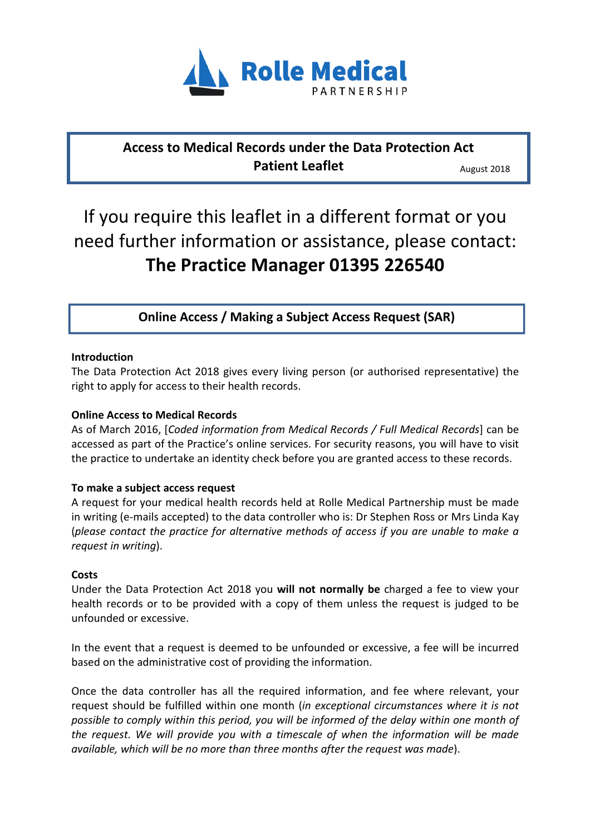

## **Access to Medical Records under the Data Protection Act Patient Leaflet**

August 2018

# If you require this leaflet in a different format or you need further information or assistance, please contact: **The Practice Manager 01395 226540**

**Online Access / Making a Subject Access Request (SAR)** 

#### **Introduction**

The Data Protection Act 2018 gives every living person (or authorised representative) the right to apply for access to their health records.

#### **Online Access to Medical Records**

As of March 2016, [*Coded information from Medical Records / Full Medical Records*] can be accessed as part of the Practice's online services. For security reasons, you will have to visit the practice to undertake an identity check before you are granted access to these records.

#### **To make a subject access request**

A request for your medical health records held at Rolle Medical Partnership must be made in writing (e-mails accepted) to the data controller who is: Dr Stephen Ross or Mrs Linda Kay (*please contact the practice for alternative methods of access if you are unable to make a request in writing*).

#### **Costs**

Under the Data Protection Act 2018 you **will not normally be** charged a fee to view your health records or to be provided with a copy of them unless the request is judged to be unfounded or excessive.

In the event that a request is deemed to be unfounded or excessive, a fee will be incurred based on the administrative cost of providing the information.

Once the data controller has all the required information, and fee where relevant, your request should be fulfilled within one month (*in exceptional circumstances where it is not possible to comply within this period, you will be informed of the delay within one month of the request. We will provide you with a timescale of when the information will be made available, which will be no more than three months after the request was made*).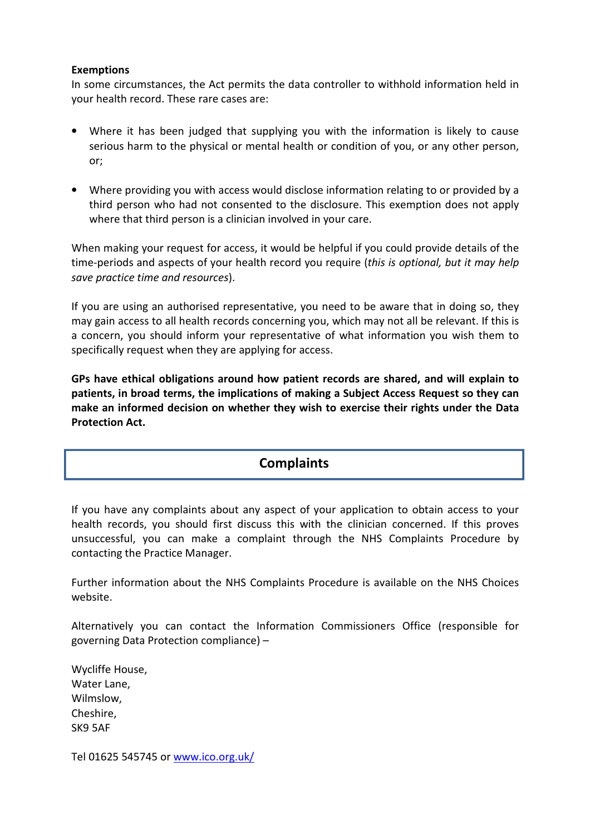#### **Exemptions**

In some circumstances, the Act permits the data controller to withhold information held in your health record. These rare cases are:

- Where it has been judged that supplying you with the information is likely to cause serious harm to the physical or mental health or condition of you, or any other person, or;
- Where providing you with access would disclose information relating to or provided by a third person who had not consented to the disclosure. This exemption does not apply where that third person is a clinician involved in your care.

When making your request for access, it would be helpful if you could provide details of the time-periods and aspects of your health record you require (*this is optional, but it may help save practice time and resources*).

If you are using an authorised representative, you need to be aware that in doing so, they may gain access to all health records concerning you, which may not all be relevant. If this is a concern, you should inform your representative of what information you wish them to specifically request when they are applying for access.

**GPs have ethical obligations around how patient records are shared, and will explain to patients, in broad terms, the implications of making a Subject Access Request so they can make an informed decision on whether they wish to exercise their rights under the Data Protection Act.** 

### **Complaints**

If you have any complaints about any aspect of your application to obtain access to your health records, you should first discuss this with the clinician concerned. If this proves unsuccessful, you can make a complaint through the NHS Complaints Procedure by contacting the Practice Manager.

Further information about the NHS Complaints Procedure is available on the NHS Choices website.

Alternatively you can contact the Information Commissioners Office (responsible for governing Data Protection compliance) –

Wycliffe House, Water Lane, Wilmslow, Cheshire, SK9 5AF

Tel 01625 545745 or www.ico.org.uk/